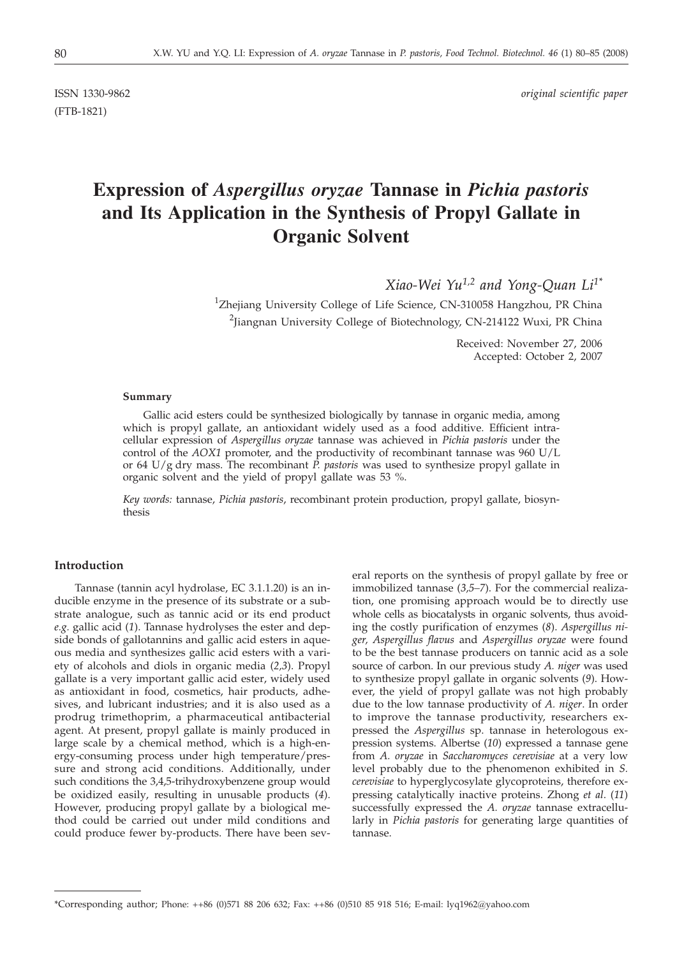(FTB-1821)

ISSN 1330-9862 *original scientific paper*

# **Expression of** *Aspergillus oryzae* **Tannase in** *Pichia pastoris* **and Its Application in the Synthesis of Propyl Gallate in Organic Solvent**

*Xiao-Wei Yu1,2 and Yong-Quan Li1\**

<sup>1</sup>Zhejiang University College of Life Science, CN-310058 Hangzhou, PR China <sup>2</sup>Jiangnan University College of Biotechnology, CN-214122 Wuxi, PR China

> Received: November 27, 2006 Accepted: October 2, 2007

#### **Summary**

Gallic acid esters could be synthesized biologically by tannase in organic media, among which is propyl gallate, an antioxidant widely used as a food additive. Efficient intracellular expression of *Aspergillus oryzae* tannase was achieved in *Pichia pastoris* under the control of the *AOX1* promoter, and the productivity of recombinant tannase was 960 U/L or 64 U/g dry mass. The recombinant *P. pastoris* was used to synthesize propyl gallate in organic solvent and the yield of propyl gallate was 53 %.

*Key words:* tannase, *Pichia pastoris*, recombinant protein production, propyl gallate, biosynthesis

## **Introduction**

Tannase (tannin acyl hydrolase, EC 3.1.1.20) is an inducible enzyme in the presence of its substrate or a substrate analogue, such as tannic acid or its end product *e.g.* gallic acid (*1*). Tannase hydrolyses the ester and depside bonds of gallotannins and gallic acid esters in aqueous media and synthesizes gallic acid esters with a variety of alcohols and diols in organic media (*2,3*). Propyl gallate is a very important gallic acid ester, widely used as antioxidant in food, cosmetics, hair products, adhesives, and lubricant industries; and it is also used as a prodrug trimethoprim, a pharmaceutical antibacterial agent. At present, propyl gallate is mainly produced in large scale by a chemical method, which is a high-energy-consuming process under high temperature/pressure and strong acid conditions. Additionally, under such conditions the 3,4,5-trihydroxybenzene group would be oxidized easily, resulting in unusable products (*4*). However, producing propyl gallate by a biological method could be carried out under mild conditions and could produce fewer by-products. There have been several reports on the synthesis of propyl gallate by free or immobilized tannase (*3,5–7*). For the commercial realization, one promising approach would be to directly use whole cells as biocatalysts in organic solvents, thus avoiding the costly purification of enzymes (*8*). *Aspergillus niger, Aspergillus flavus* and *Aspergillus oryzae* were found to be the best tannase producers on tannic acid as a sole source of carbon. In our previous study *A. niger* was used to synthesize propyl gallate in organic solvents (*9*). However, the yield of propyl gallate was not high probably due to the low tannase productivity of *A. niger*. In order to improve the tannase productivity, researchers expressed the *Aspergillus* sp. tannase in heterologous expression systems. Albertse (*10*) expressed a tannase gene from *A. oryzae* in *Saccharomyces cerevisiae* at a very low level probably due to the phenomenon exhibited in *S. cerevisiae* to hyperglycosylate glycoproteins, therefore expressing catalytically inactive proteins. Zhong *et al*. (*11*) successfully expressed the *A. oryzae* tannase extracellularly in *Pichia pastoris* for generating large quantities of tannase.

<sup>\*</sup>Corresponding author; Phone: ++86 (0)571 88 206 632; Fax: ++86 (0)510 85 918 516; E-mail: lyq1962*@*yahoo.com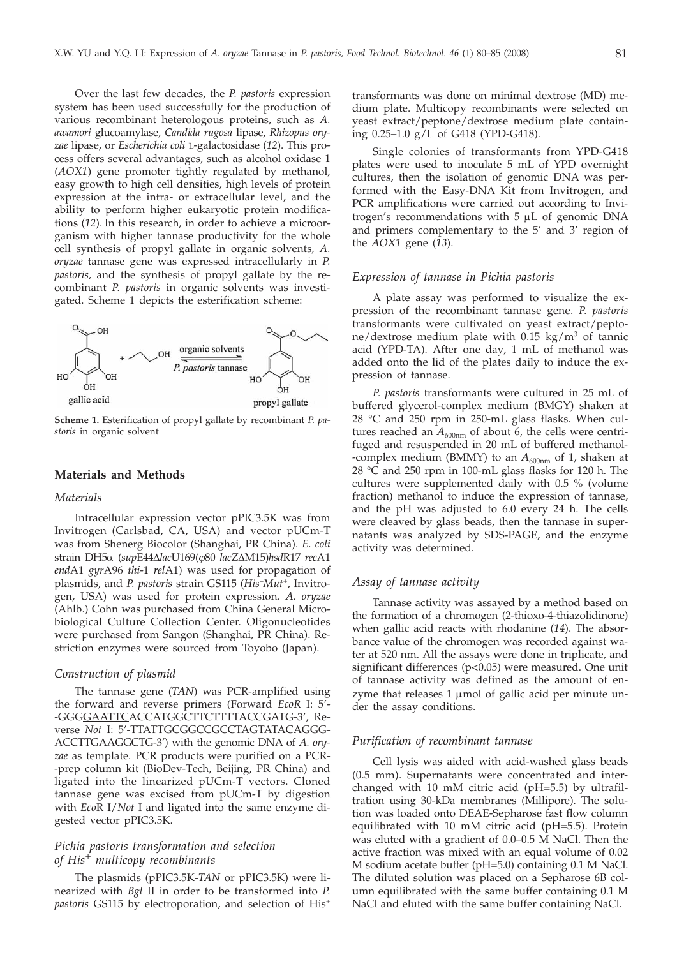Over the last few decades, the *P. pastoris* expression system has been used successfully for the production of various recombinant heterologous proteins, such as *A. awamori* glucoamylase, *Candida rugosa* lipase, *Rhizopus oryzae* lipase, or *Escherichia coli* L-galactosidase (*12*). This process offers several advantages, such as alcohol oxidase 1 (*AOX1*) gene promoter tightly regulated by methanol, easy growth to high cell densities, high levels of protein expression at the intra- or extracellular level, and the ability to perform higher eukaryotic protein modifications (*12*). In this research, in order to achieve a microorganism with higher tannase productivity for the whole cell synthesis of propyl gallate in organic solvents, *A. oryzae* tannase gene was expressed intracellularly in *P. pastoris,* and the synthesis of propyl gallate by the recombinant *P. pastoris* in organic solvents was investigated. Scheme 1 depicts the esterification scheme:



**Scheme 1.** Esterification of propyl gallate by recombinant *P. pastoris* in organic solvent

#### **Materials and Methods**

#### *Materials*

Intracellular expression vector pPIC3.5K was from Invitrogen (Carlsbad, CA, USA) and vector pUCm-T was from Shenerg Biocolor (Shanghai, PR China). *E. coli* strain DH5a (*sup*E44D*lac*U169(*j*80 *lacZ*DM15)*hsd*R17 *rec*A1 *end*A1 *gyr*A96 *thi*-1 *rel*A1) was used for propagation of plasmids, and *P. pastoris* strain GS115 (*His*–*Mut*+, Invitrogen, USA) was used for protein expression. *A. oryzae* (Ahlb.) Cohn was purchased from China General Microbiological Culture Collection Center. Oligonucleotides were purchased from Sangon (Shanghai, PR China). Restriction enzymes were sourced from Toyobo (Japan).

#### *Construction of plasmid*

The tannase gene (*TAN*) was PCR-amplified using the forward and reverse primers (Forward *EcoR* I: 5'- -GGGGAATTCACCATGGCTTCTTTTACCGATG-3', Reverse *Not* I: 5'-TTATTGCGGCCGCCTAGTATACAGGG-ACCTTGAAGGCTG-3') with the genomic DNA of *A. oryzae* as template. PCR products were purified on a PCR- -prep column kit (BioDev-Tech, Beijing, PR China) and ligated into the linearized pUCm-T vectors. Cloned tannase gene was excised from pUCm-T by digestion with *Eco*R I/*Not* I and ligated into the same enzyme digested vector pPIC3.5K.

## *Pichia pastoris transformation and selection of His<sup>+</sup> multicopy recombinants*

The plasmids (pPIC3.5K-*TAN* or pPIC3.5K) were linearized with *Bgl* II in order to be transformed into *P. pastoris* GS115 by electroporation, and selection of His+

transformants was done on minimal dextrose (MD) medium plate. Multicopy recombinants were selected on yeast extract/peptone/dextrose medium plate containing 0.25–1.0 g/L of G418 (YPD-G418).

Single colonies of transformants from YPD-G418 plates were used to inoculate 5 mL of YPD overnight cultures, then the isolation of genomic DNA was performed with the Easy-DNA Kit from Invitrogen, and PCR amplifications were carried out according to Invitrogen's recommendations with  $5 \mu L$  of genomic DNA and primers complementary to the 5' and 3' region of the *AOX1* gene (*13*).

#### *Expression of tannase in Pichia pastoris*

A plate assay was performed to visualize the expression of the recombinant tannase gene. *P. pastoris* transformants were cultivated on yeast extract/peptone/dextrose medium plate with  $0.15 \text{ kg/m}^3$  of tannic acid (YPD-TA). After one day, 1 mL of methanol was added onto the lid of the plates daily to induce the expression of tannase.

*P. pastoris* transformants were cultured in 25 mL of buffered glycerol-complex medium (BMGY) shaken at 28 °C and 250 rpm in 250-mL glass flasks. When cultures reached an  $A_{600nm}$  of about 6, the cells were centrifuged and resuspended in 20 mL of buffered methanol- -complex medium (BMMY) to an  $A_{600nm}$  of 1, shaken at 28 °C and 250 rpm in 100-mL glass flasks for 120 h. The cultures were supplemented daily with 0.5 % (volume fraction) methanol to induce the expression of tannase, and the pH was adjusted to 6.0 every 24 h. The cells were cleaved by glass beads, then the tannase in supernatants was analyzed by SDS-PAGE, and the enzyme activity was determined.

## *Assay of tannase activity*

Tannase activity was assayed by a method based on the formation of a chromogen (2-thioxo-4-thiazolidinone) when gallic acid reacts with rhodanine (*14*). The absorbance value of the chromogen was recorded against water at 520 nm. All the assays were done in triplicate, and significant differences (p*<*0.05) were measured. One unit of tannase activity was defined as the amount of enzyme that releases  $1 \mu$ mol of gallic acid per minute under the assay conditions.

#### *Purification of recombinant tannase*

Cell lysis was aided with acid-washed glass beads (0.5 mm). Supernatants were concentrated and interchanged with 10 mM citric acid (pH=5.5) by ultrafiltration using 30-kDa membranes (Millipore). The solution was loaded onto DEAE-Sepharose fast flow column equilibrated with 10 mM citric acid (pH=5.5). Protein was eluted with a gradient of 0.0–0.5 M NaCl. Then the active fraction was mixed with an equal volume of 0.02 M sodium acetate buffer (pH=5.0) containing 0.1 M NaCl. The diluted solution was placed on a Sepharose 6B column equilibrated with the same buffer containing 0.1 M NaCl and eluted with the same buffer containing NaCl.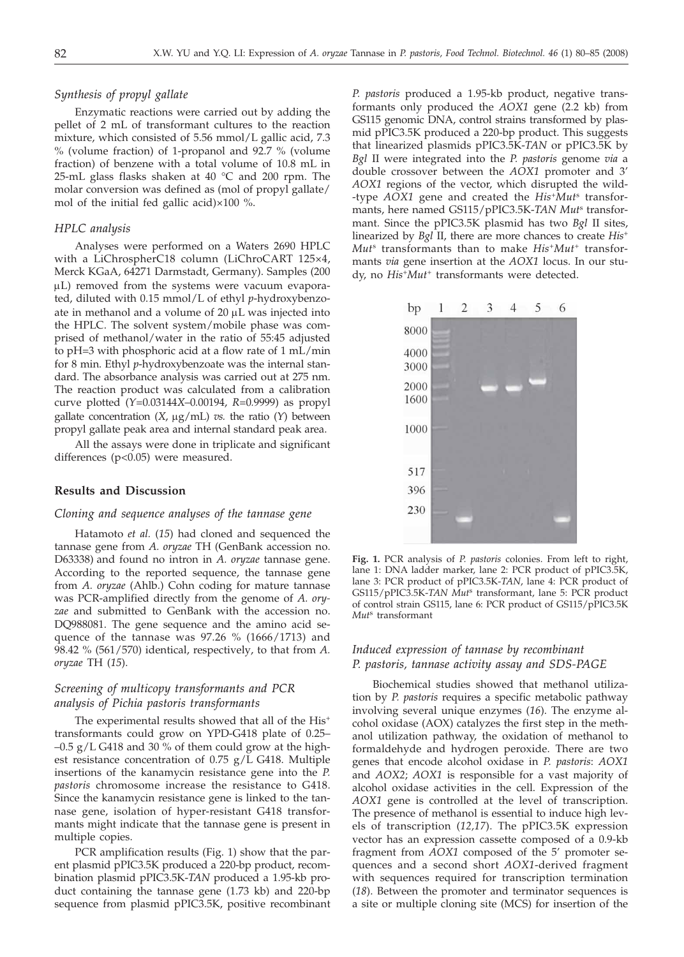#### *Synthesis of propyl gallate*

Enzymatic reactions were carried out by adding the pellet of 2 mL of transformant cultures to the reaction mixture, which consisted of 5.56 mmol/L gallic acid, 7.3 % (volume fraction) of 1-propanol and 92.7 % (volume fraction) of benzene with a total volume of 10.8 mL in 25-mL glass flasks shaken at 40 °C and 200 rpm. The molar conversion was defined as (mol of propyl gallate/ mol of the initial fed gallic acid)×100 %.

#### *HPLC analysis*

Analyses were performed on a Waters 2690 HPLC with a LiChrospherC18 column (LiChroCART 125×4, Merck KGaA, 64271 Darmstadt, Germany). Samples (200  $\mu$ L) removed from the systems were vacuum evaporated, diluted with 0.15 mmol/L of ethyl *p*-hydroxybenzoate in methanol and a volume of  $20 \mu L$  was injected into the HPLC. The solvent system/mobile phase was comprised of methanol/water in the ratio of 55:45 adjusted to pH=3 with phosphoric acid at a flow rate of 1 mL/min for 8 min. Ethyl *p*-hydroxybenzoate was the internal standard. The absorbance analysis was carried out at 275 nm. The reaction product was calculated from a calibration curve plotted (*Y*=0*.*03144*X*–0*.*00194, *R*=0*.*9999) as propyl gallate concentration  $(X, \mu g/mL)$  *vs.* the ratio  $(Y)$  between propyl gallate peak area and internal standard peak area.

All the assays were done in triplicate and significant differences (p<0.05) were measured.

## **Results and Discussion**

## *Cloning and sequence analyses of the tannase gene*

Hatamoto *et al.* (*15*) had cloned and sequenced the tannase gene from *A. oryzae* TH (GenBank accession no. D63338) and found no intron in *A. oryzae* tannase gene. According to the reported sequence, the tannase gene from *A. oryzae* (Ahlb.) Cohn coding for mature tannase was PCR-amplified directly from the genome of *A. oryzae* and submitted to GenBank with the accession no. DQ988081. The gene sequence and the amino acid sequence of the tannase was 97.26 % (1666/1713) and 98.42 % (561/570) identical, respectively, to that from *A. oryzae* TH (*15*).

## *Screening of multicopy transformants and PCR analysis of Pichia pastoris transformants*

The experimental results showed that all of the His<sup>+</sup> transformants could grow on YPD-G418 plate of 0.25–  $-0.5$  g/L G418 and 30 % of them could grow at the highest resistance concentration of 0.75 g/L G418. Multiple insertions of the kanamycin resistance gene into the *P. pastoris* chromosome increase the resistance to G418. Since the kanamycin resistance gene is linked to the tannase gene, isolation of hyper-resistant G418 transformants might indicate that the tannase gene is present in multiple copies.

PCR amplification results (Fig. 1) show that the parent plasmid pPIC3.5K produced a 220-bp product, recombination plasmid pPIC3.5K-*TAN* produced a 1.95-kb product containing the tannase gene (1.73 kb) and 220-bp sequence from plasmid pPIC3.5K, positive recombinant *P. pastoris* produced a 1.95-kb product, negative transformants only produced the *AOX1* gene (2.2 kb) from GS115 genomic DNA, control strains transformed by plasmid pPIC3.5K produced a 220-bp product. This suggests that linearized plasmids pPIC3.5K-*TAN* or pPIC3.5K by *Bgl* II were integrated into the *P. pastoris* genome *via* a double crossover between the *AOX1* promoter and 3' *AOX1* regions of the vector, which disrupted the wild- -type *AOX1* gene and created the *His*<sup>+</sup>*Mut*<sup>s</sup> transformants, here named GS115/pPIC3.5K-*TAN Mut*<sup>s</sup> transformant. Since the pPIC3.5K plasmid has two *Bgl* II sites, linearized by *Bgl* II, there are more chances to create *His*<sup>+</sup> *Mut*<sup>s</sup> transformants than to make *His*<sup>+</sup>*Mut*<sup>+</sup> transformants *via* gene insertion at the *AOX1* locus. In our study, no *His*<sup>+</sup>*Mut*<sup>+</sup> transformants were detected.



**Fig. 1.** PCR analysis of *P. pastoris* colonies. From left to right, lane 1: DNA ladder marker, lane 2: PCR product of pPIC3.5K, lane 3: PCR product of pPIC3.5K-*TAN*, lane 4: PCR product of GS115/pPIC3.5K-*TAN Mut*<sup>s</sup> transformant, lane 5: PCR product of control strain GS115, lane 6: PCR product of GS115/pPIC3.5K *Mut*<sup>s</sup> transformant

## *Induced expression of tannase by recombinant P. pastoris, tannase activity assay and SDS-PAGE*

Biochemical studies showed that methanol utilization by *P. pastoris* requires a specific metabolic pathway involving several unique enzymes (*16*). The enzyme alcohol oxidase (AOX) catalyzes the first step in the methanol utilization pathway, the oxidation of methanol to formaldehyde and hydrogen peroxide. There are two genes that encode alcohol oxidase in *P. pastoris*: *AOX1* and *AOX2*; *AOX1* is responsible for a vast majority of alcohol oxidase activities in the cell. Expression of the *AOX1* gene is controlled at the level of transcription. The presence of methanol is essential to induce high levels of transcription (*12,17*). The pPIC3.5K expression vector has an expression cassette composed of a 0.9-kb fragment from *AOX1* composed of the 5' promoter sequences and a second short *AOX1*-derived fragment with sequences required for transcription termination (*18*). Between the promoter and terminator sequences is a site or multiple cloning site (MCS) for insertion of the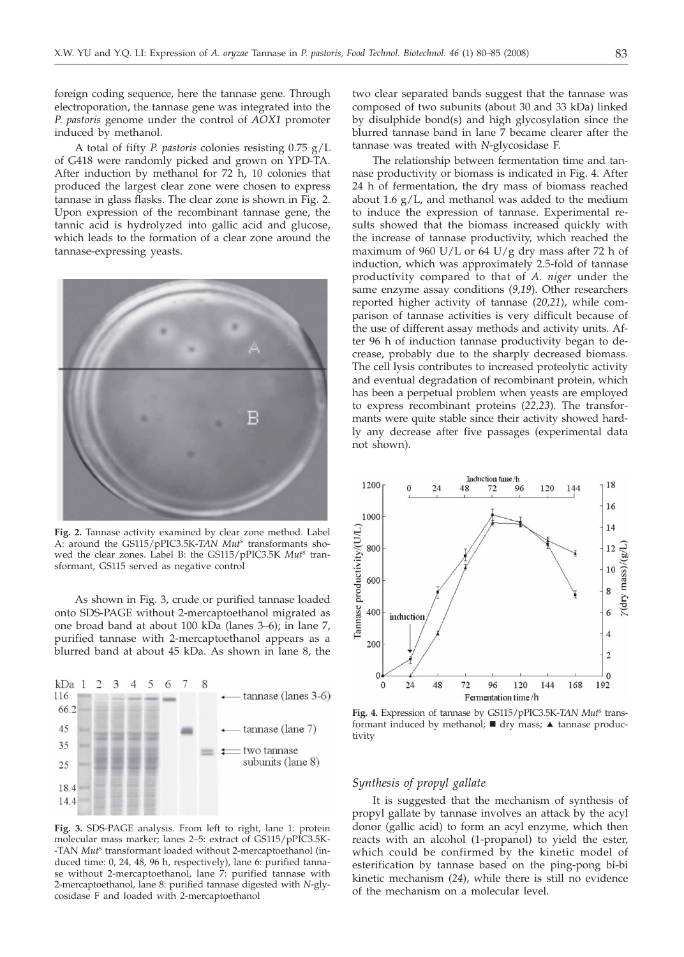foreign coding sequence, here the tannase gene. Through electroporation, the tannase gene was integrated into the *P. pastoris* genome under the control of *AOX1* promoter induced by methanol.

A total of fifty *P. pastoris* colonies resisting 0.75 g/L of G418 were randomly picked and grown on YPD-TA. After induction by methanol for 72 h, 10 colonies that produced the largest clear zone were chosen to express tannase in glass flasks. The clear zone is shown in Fig. 2. Upon expression of the recombinant tannase gene, the tannic acid is hydrolyzed into gallic acid and glucose, which leads to the formation of a clear zone around the tannase-expressing yeasts.



**Fig. 2.** Tannase activity examined by clear zone method. Label A: around the GS115/pPIC3.5K-*TAN Mut*<sup>s</sup> transformants showed the clear zones. Label B: the GS115/pPIC3.5K *Mut*<sup>s</sup> transformant, GS115 served as negative control

As shown in Fig. 3, crude or purified tannase loaded onto SDS-PAGE without 2-mercaptoethanol migrated as one broad band at about 100 kDa (lanes 3–6); in lane 7, purified tannase with 2-mercaptoethanol appears as a blurred band at about 45 kDa. As shown in lane 8, the



**Fig. 3.** SDS-PAGE analysis. From left to right, lane 1: protein molecular mass marker; lanes 2–5: extract of GS115/pPIC3.5K- -TAN *Mut*<sup>s</sup> transformant loaded without 2-mercaptoethanol (induced time: 0, 24, 48, 96 h, respectively), lane 6: purified tannase without 2-mercaptoethanol, lane 7: purified tannase with 2-mercaptoethanol, lane 8: purified tannase digested with *N*-glycosidase F and loaded with 2-mercaptoethanol

two clear separated bands suggest that the tannase was composed of two subunits (about 30 and 33 kDa) linked by disulphide bond(s) and high glycosylation since the blurred tannase band in lane 7 became clearer after the tannase was treated with *N*-glycosidase F.

The relationship between fermentation time and tannase productivity or biomass is indicated in Fig. 4. After 24 h of fermentation, the dry mass of biomass reached about 1.6  $g/L$ , and methanol was added to the medium to induce the expression of tannase. Experimental results showed that the biomass increased quickly with the increase of tannase productivity, which reached the maximum of 960 U/L or 64 U/g dry mass after 72 h of induction, which was approximately 2.5-fold of tannase productivity compared to that of *A. niger* under the same enzyme assay conditions (*9,19*). Other researchers reported higher activity of tannase (*20,21*), while comparison of tannase activities is very difficult because of the use of different assay methods and activity units. After 96 h of induction tannase productivity began to decrease, probably due to the sharply decreased biomass. The cell lysis contributes to increased proteolytic activity and eventual degradation of recombinant protein, which has been a perpetual problem when yeasts are employed to express recombinant proteins (*22,23*)*.* The transformants were quite stable since their activity showed hardly any decrease after five passages (experimental data not shown).



**Fig. 4.** Expression of tannase by GS115/pPIC3.5K-*TAN Mut*<sup>s</sup> transformant induced by methanol;  $\blacksquare$  dry mass;  $\blacktriangle$  tannase productivity

#### *Synthesis of propyl gallate*

It is suggested that the mechanism of synthesis of propyl gallate by tannase involves an attack by the acyl donor (gallic acid) to form an acyl enzyme, which then reacts with an alcohol (1-propanol) to yield the ester, which could be confirmed by the kinetic model of esterification by tannase based on the ping-pong bi-bi kinetic mechanism (*24*), while there is still no evidence of the mechanism on a molecular level.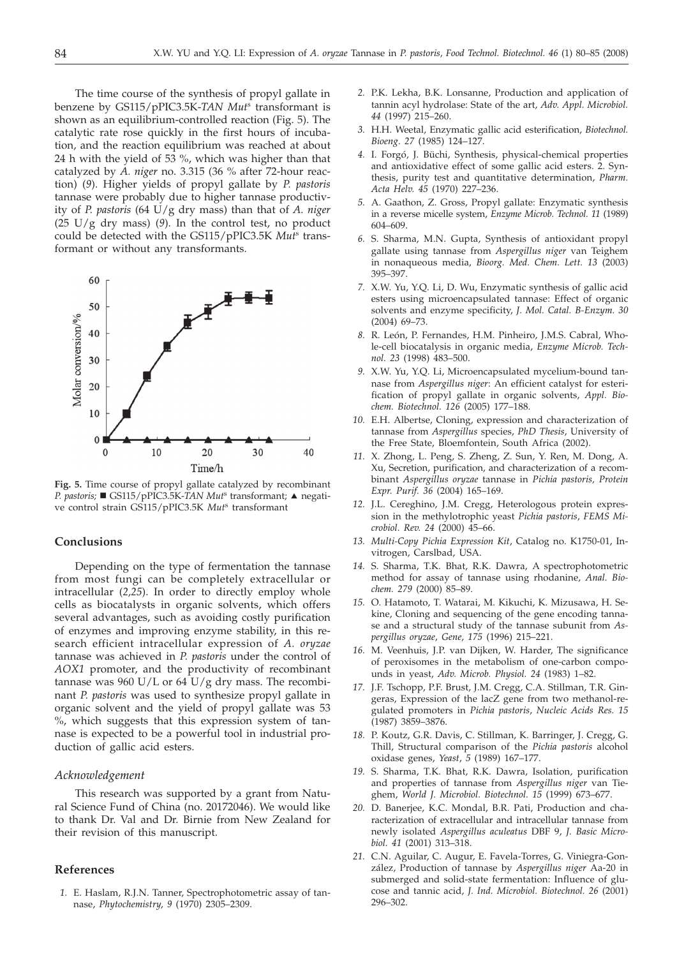The time course of the synthesis of propyl gallate in benzene by GS115/pPIC3.5K-*TAN Mut*<sup>s</sup> transformant is shown as an equilibrium-controlled reaction (Fig. 5). The catalytic rate rose quickly in the first hours of incubation, and the reaction equilibrium was reached at about 24 h with the yield of 53 %, which was higher than that catalyzed by *A. niger* no. 3.315 (36 % after 72-hour reaction) (*9*). Higher yields of propyl gallate by *P. pastoris* tannase were probably due to higher tannase productivity of *P. pastoris* (64 U/g dry mass) than that of *A. niger* (25 U/g dry mass) (*9*). In the control test, no product could be detected with the GS115/pPIC3.5K *Mut*<sup>s</sup> transformant or without any transformants.



**Fig. 5.** Time course of propyl gallate catalyzed by recombinant *P. pastoris;* ■ GS115/pPIC3.5K-TAN Mut<sup>s</sup> transformant; ▲ negative control strain GS115/pPIC3.5K *Mut*<sup>s</sup> transformant

## **Conclusions**

Depending on the type of fermentation the tannase from most fungi can be completely extracellular or intracellular (*2,25*). In order to directly employ whole cells as biocatalysts in organic solvents, which offers several advantages, such as avoiding costly purification of enzymes and improving enzyme stability, in this research efficient intracellular expression of *A. oryzae* tannase was achieved in *P. pastoris* under the control of *AOX1* promoter, and the productivity of recombinant tannase was 960 U/L or 64 U/g dry mass. The recombinant *P. pastoris* was used to synthesize propyl gallate in organic solvent and the yield of propyl gallate was 53 %, which suggests that this expression system of tannase is expected to be a powerful tool in industrial production of gallic acid esters.

### *Acknowledgement*

This research was supported by a grant from Natural Science Fund of China (no. 20172046). We would like to thank Dr. Val and Dr. Birnie from New Zealand for their revision of this manuscript.

## **References**

*1.* E. Haslam, R.J.N. Tanner, Spectrophotometric assay of tannase, *Phytochemistry*, *9* (1970) 2305–2309.

- *2.* P.K. Lekha, B.K. Lonsanne, Production and application of tannin acyl hydrolase: State of the art, *Adv. Appl. Microbiol. 44* (1997) 215–260.
- *3.* H.H. Weetal, Enzymatic gallic acid esterification, *Biotechnol. Bioeng. 27* (1985) 124–127.
- *4.* I. Forgó, J. Büchi, Synthesis, physical-chemical properties and antioxidative effect of some gallic acid esters. 2. Synthesis, purity test and quantitative determination, *Pharm. Acta Helv. 45* (1970) 227–236.
- *5.* A. Gaathon, Z. Gross, Propyl gallate: Enzymatic synthesis in a reverse micelle system, *Enzyme Microb. Technol. 11* (1989) 604–609.
- *6.* S. Sharma, M.N. Gupta, Synthesis of antioxidant propyl gallate using tannase from *Aspergillus niger* van Teighem in nonaqueous media, *Bioorg. Med. Chem. Lett. 13* (2003) 395–397.
- *7.* X.W. Yu, Y.Q. Li, D. Wu, Enzymatic synthesis of gallic acid esters using microencapsulated tannase: Effect of organic solvents and enzyme specificity, *J. Mol. Catal. B-Enzym. 30* (2004) 69–73.
- *8.* R. León, P. Fernandes, H.M. Pinheiro, J.M.S. Cabral, Whole-cell biocatalysis in organic media, *Enzyme Microb. Technol. 23* (1998) 483–500.
- *9.* X.W. Yu, Y.Q. Li, Microencapsulated mycelium-bound tannase from *Aspergillus niger*: An efficient catalyst for esterification of propyl gallate in organic solvents, *Appl. Biochem. Biotechnol. 126* (2005) 177–188.
- *10.* E.H. Albertse, Cloning, expression and characterization of tannase from *Aspergillus* species, *PhD Thesis*, University of the Free State, Bloemfontein, South Africa (2002).
- *11.* X. Zhong, L. Peng, S. Zheng, Z. Sun, Y. Ren, M. Dong, A. Xu, Secretion, purification, and characterization of a recombinant *Aspergillus oryzae* tannase in *Pichia pastoris, Protein Expr. Purif. 36* (2004) 165–169.
- *12.* J.L. Cereghino, J.M. Cregg, Heterologous protein expression in the methylotrophic yeast *Pichia pastoris*, *FEMS Microbiol. Rev. 24* (2000) 45–66.
- *13. Multi-Copy Pichia Expression Kit*, Catalog no. K1750-01, Invitrogen, Carslbad, USA.
- *14.* S. Sharma, T.K. Bhat, R.K. Dawra, A spectrophotometric method for assay of tannase using rhodanine, *Anal. Biochem. 279* (2000) 85–89.
- *15.* O. Hatamoto, T. Watarai, M. Kikuchi, K. Mizusawa, H. Sekine, Cloning and sequencing of the gene encoding tannase and a structural study of the tannase subunit from *Aspergillus oryzae*, *Gene*, *175* (1996) 215–221.
- *16.* M. Veenhuis, J.P. van Dijken, W. Harder, The significance of peroxisomes in the metabolism of one-carbon compounds in yeast, *Adv. Microb. Physiol. 24* (1983) 1–82.
- *17.* J.F. Tschopp, P.F. Brust, J.M. Cregg, C.A. Stillman, T.R. Gingeras, Expression of the lacZ gene from two methanol-regulated promoters in *Pichia pastoris*, *Nucleic Acids Res. 15* (1987) 3859–3876.
- *18.* P. Koutz, G.R. Davis, C. Stillman, K. Barringer, J. Cregg, G. Thill, Structural comparison of the *Pichia pastoris* alcohol oxidase genes, *Yeast*, *5* (1989) 167–177.
- *19.* S. Sharma, T.K. Bhat, R.K. Dawra, Isolation, purification and properties of tannase from *Aspergillus niger* van Tieghem, *World J. Microbiol. Biotechnol. 15* (1999) 673–677.
- *20.* D. Banerjee, K.C. Mondal, B.R. Pati, Production and characterization of extracellular and intracellular tannase from newly isolated *Aspergillus aculeatus* DBF 9, *J. Basic Microbiol. 41* (2001) 313–318.
- *21.* C.N. Aguilar, C. Augur, E. Favela-Torres, G. Viniegra-González, Production of tannase by *Aspergillus niger* Aa-20 in submerged and solid-state fermentation: Influence of glucose and tannic acid, *J. Ind. Microbiol. Biotechnol. 26* (2001) 296–302.